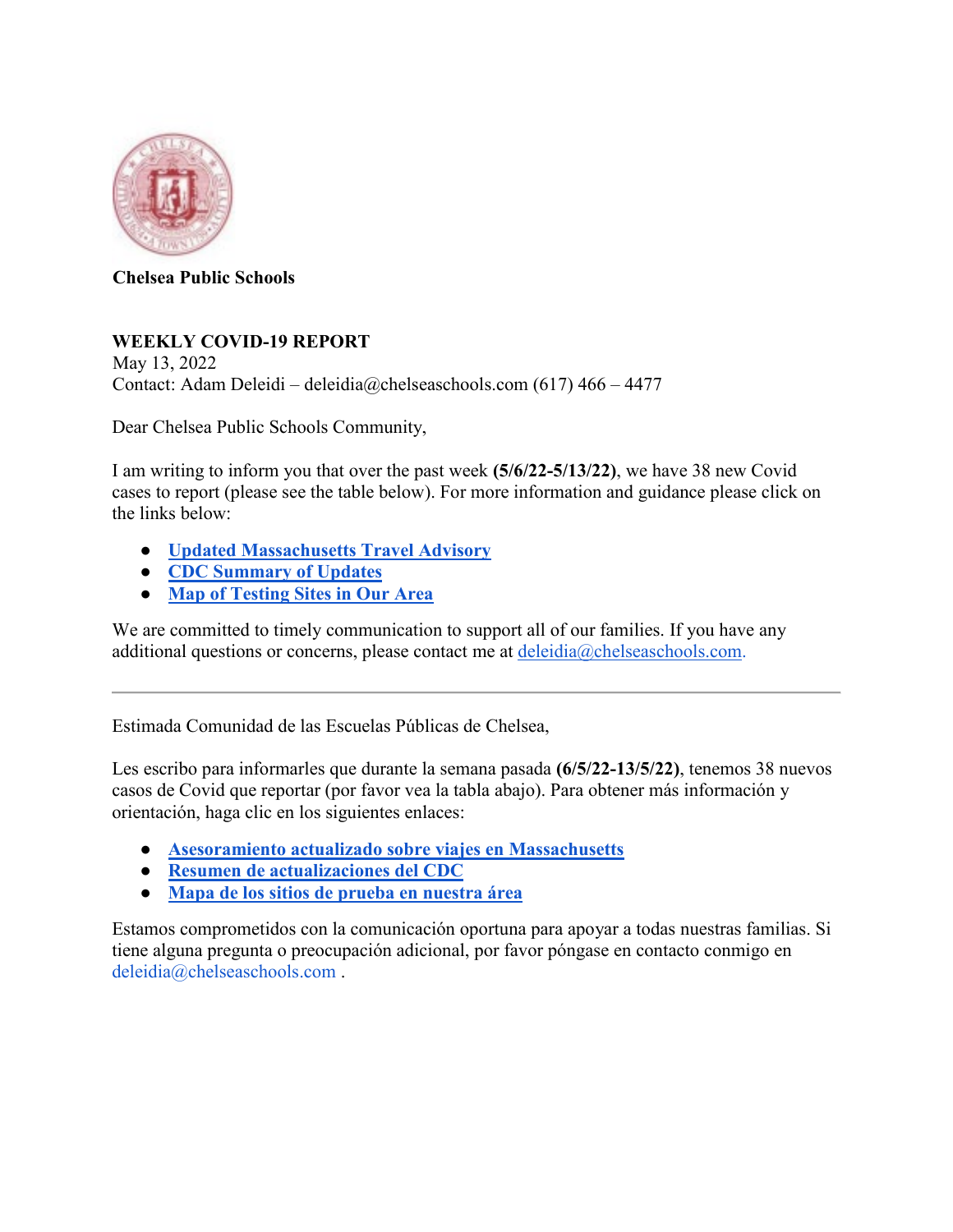

**Chelsea Public Schools** 

## **WEEKLY COVID-19 REPORT**

May 13, 2022 Contact: Adam Deleidi – deleidia@chelseaschools.com (617) 466 – 4477

Dear Chelsea Public Schools Community,

I am writing to inform you that over the past week **(5/6/22-5/13/22)**, we have 38 new Covid cases to report (please see the table below). For more information and guidance please click on the links below:

- **[Updated Massachusetts Travel Advisory](https://urldefense.com/v3/__http:/track.spe.schoolmessenger.com/f/a/BSioozpp2gew8uG8DPeHCA**A/AAAAAQA*/RgRiWykYP0Q6aHR0cHM6Ly93d3cubWFzcy5nb3YvaW5mby1kZXRhaWxzL2NvdmlkLTE5LXRyYXZlbC1hZHZpc29yeVcHc2Nob29sbUIKYHmY9Xlg2COepFIUYWRlbGVpZGlAdmVyaXpvbi5uZXRYBAAAAAE*__;fn5-fg!!LAO4uDnPwtiGPg!xRc41Y-D9hB_qzKpCyjtQoTvfCdVlRWOv0sESgDgJlX5fpImQ_XeSWlwjQEe1Jxun2PN$)**
- **[CDC Summary of Updates](https://urldefense.com/v3/__https:/www.cdc.gov/coronavirus/2019-ncov/index.html__;!!LAO4uDnPwtiGPg!xRc41Y-D9hB_qzKpCyjtQoTvfCdVlRWOv0sESgDgJlX5fpImQ_XeSWlwjQEe1CZOJhx3$)**
- **[Map of Testing Sites in Our Area](https://urldefense.com/v3/__https:/www.mass.gov/info-details/find-a-covid-19-test__;!!LAO4uDnPwtiGPg!xRc41Y-D9hB_qzKpCyjtQoTvfCdVlRWOv0sESgDgJlX5fpImQ_XeSWlwjQEe1F3QiWMa$)**

We are committed to timely communication to support all of our families. If you have any additional questions or concerns, please contact me at deleidia@chelseaschools.com.

Estimada Comunidad de las Escuelas Públicas de Chelsea,

Les escribo para informarles que durante la semana pasada **(6/5/22-13/5/22)**, tenemos 38 nuevos casos de Covid que reportar (por favor vea la tabla abajo). Para obtener más información y orientación, haga clic en los siguientes enlaces:

- **[Asesoramiento actualizado sobre viajes en Massachusetts](https://urldefense.com/v3/__https:/www.mass.gov/info-details/covid-19-travel-advisory__;!!LAO4uDnPwtiGPg!xRc41Y-D9hB_qzKpCyjtQoTvfCdVlRWOv0sESgDgJlX5fpImQ_XeSWlwjQEe1Nsn_Sw8$)**
- **[Resumen de actualizaciones del CDC](https://urldefense.com/v3/__https:/www.cdc.gov/coronavirus/2019-ncov/index.html__;!!LAO4uDnPwtiGPg!xRc41Y-D9hB_qzKpCyjtQoTvfCdVlRWOv0sESgDgJlX5fpImQ_XeSWlwjQEe1CZOJhx3$)**
- **[Mapa de los sitios de prueba en nuestra área](https://urldefense.com/v3/__https:/www.mass.gov/info-details/find-a-covid-19-test__;!!LAO4uDnPwtiGPg!xRc41Y-D9hB_qzKpCyjtQoTvfCdVlRWOv0sESgDgJlX5fpImQ_XeSWlwjQEe1F3QiWMa$)**

Estamos comprometidos con la comunicación oportuna para apoyar a todas nuestras familias. Si tiene alguna pregunta o preocupación adicional, por favor póngase en contacto conmigo en deleidia@chelseaschools.com .